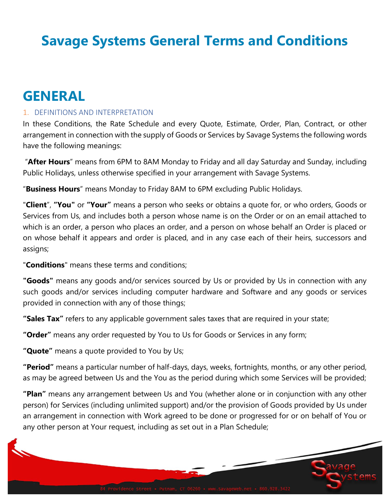# **Savage Systems General Terms and Conditions**

## **GENERAL**

## 1. DEFINITIONS AND INTERPRETATION

In these Conditions, the Rate Schedule and every Quote, Estimate, Order, Plan, Contract, or other arrangement in connection with the supply of Goods or Services by Savage Systems the following words have the following meanings:

"**After Hours**" means from 6PM to 8AM Monday to Friday and all day Saturday and Sunday, including Public Holidays, unless otherwise specified in your arrangement with Savage Systems.

"**Business Hours**" means Monday to Friday 8AM to 6PM excluding Public Holidays.

"**Client**", **"You"** or **"Your"** means a person who seeks or obtains a quote for, or who orders, Goods or Services from Us, and includes both a person whose name is on the Order or on an email attached to which is an order, a person who places an order, and a person on whose behalf an Order is placed or on whose behalf it appears and order is placed, and in any case each of their heirs, successors and assigns;

"**Conditions**" means these terms and conditions;

**"Goods"** means any goods and/or services sourced by Us or provided by Us in connection with any such goods and/or services including computer hardware and Software and any goods or services provided in connection with any of those things;

**"Sales Tax"** refers to any applicable government sales taxes that are required in your state;

**"Order"** means any order requested by You to Us for Goods or Services in any form;

**"Quote"** means a quote provided to You by Us;

**"Period"** means a particular number of half-days, days, weeks, fortnights, months, or any other period, as may be agreed between Us and the You as the period during which some Services will be provided;

**"Plan"** means any arrangement between Us and You (whether alone or in conjunction with any other person) for Services (including unlimited support) and/or the provision of Goods provided by Us under an arrangement in connection with Work agreed to be done or progressed for or on behalf of You or any other person at Your request, including as set out in a Plan Schedule;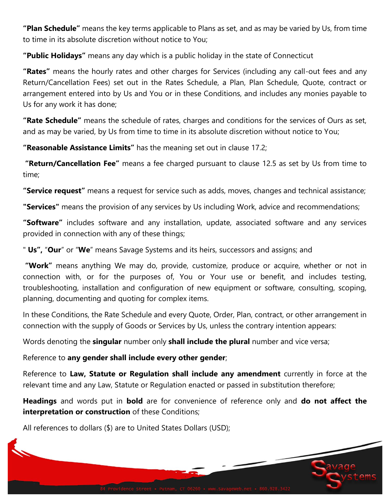**"Plan Schedule"** means the key terms applicable to Plans as set, and as may be varied by Us, from time to time in its absolute discretion without notice to You;

**"Public Holidays"** means any day which is a public holiday in the state of Connecticut

**"Rates"** means the hourly rates and other charges for Services (including any call-out fees and any Return/Cancellation Fees) set out in the Rates Schedule, a Plan, Plan Schedule, Quote, contract or arrangement entered into by Us and You or in these Conditions, and includes any monies payable to Us for any work it has done;

**"Rate Schedule"** means the schedule of rates, charges and conditions for the services of Ours as set, and as may be varied, by Us from time to time in its absolute discretion without notice to You;

**"Reasonable Assistance Limits"** has the meaning set out in clause [17.2;](#page-10-0)

**"Return/Cancellation Fee"** means a fee charged pursuant to clause [12.5](#page-7-0) as set by Us from time to time;

**"Service request"** means a request for service such as adds, moves, changes and technical assistance;

**"Services"** means the provision of any services by Us including Work, advice and recommendations;

**"Software"** includes software and any installation, update, associated software and any services provided in connection with any of these things;

" **Us",** "**Our**" or "**We**" means Savage Systems and its heirs, successors and assigns; and

**"Work"** means anything We may do, provide, customize, produce or acquire, whether or not in connection with, or for the purposes of, You or Your use or benefit, and includes testing, troubleshooting, installation and configuration of new equipment or software, consulting, scoping, planning, documenting and quoting for complex items.

In these Conditions, the Rate Schedule and every Quote, Order, Plan, contract, or other arrangement in connection with the supply of Goods or Services by Us, unless the contrary intention appears:

Words denoting the **singular** number only **shall include the plural** number and vice versa;

Reference to **any gender shall include every other gender**;

Reference to **Law, Statute or Regulation shall include any amendment** currently in force at the relevant time and any Law, Statute or Regulation enacted or passed in substitution therefore;

**Headings** and words put in **bold** are for convenience of reference only and **do not affect the interpretation or construction** of these Conditions;

All references to dollars (\$) are to United States Dollars (USD);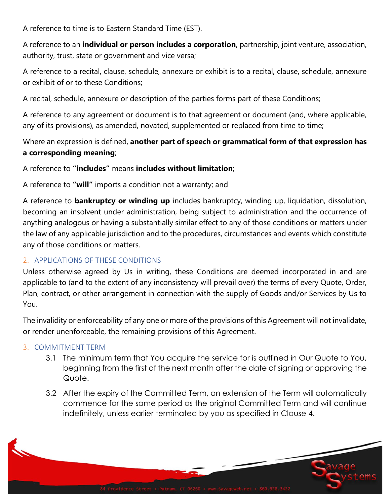A reference to time is to Eastern Standard Time (EST).

A reference to an **individual or person includes a corporation**, partnership, joint venture, association, authority, trust, state or government and vice versa;

A reference to a recital, clause, schedule, annexure or exhibit is to a recital, clause, schedule, annexure or exhibit of or to these Conditions;

A recital, schedule, annexure or description of the parties forms part of these Conditions;

A reference to any agreement or document is to that agreement or document (and, where applicable, any of its provisions), as amended, novated, supplemented or replaced from time to time;

Where an expression is defined, **another part of speech or grammatical form of that expression has a corresponding meaning**;

A reference to **"includes"** means **includes without limitation**;

A reference to **"will"** imports a condition not a warranty; and

A reference to **bankruptcy or winding up** includes bankruptcy, winding up, liquidation, dissolution, becoming an insolvent under administration, being subject to administration and the occurrence of anything analogous or having a substantially similar effect to any of those conditions or matters under the law of any applicable jurisdiction and to the procedures, circumstances and events which constitute any of those conditions or matters.

## 2. APPLICATIONS OF THESE CONDITIONS

Unless otherwise agreed by Us in writing, these Conditions are deemed incorporated in and are applicable to (and to the extent of any inconsistency will prevail over) the terms of every Quote, Order, Plan, contract, or other arrangement in connection with the supply of Goods and/or Services by Us to You.

The invalidity or enforceability of any one or more of the provisions of this Agreement will not invalidate, or render unenforceable, the remaining provisions of this Agreement.

## 3. COMMITMENT TERM

- 3.1 The minimum term that You acquire the service for is outlined in Our Quote to You, beginning from the first of the next month after the date of signing or approving the Quote.
- 3.2 After the expiry of the Committed Term, an extension of the Term will automatically commence for the same period as the original Committed Term and will continue indefinitely, unless earlier terminated by you as specified in Clause 4.

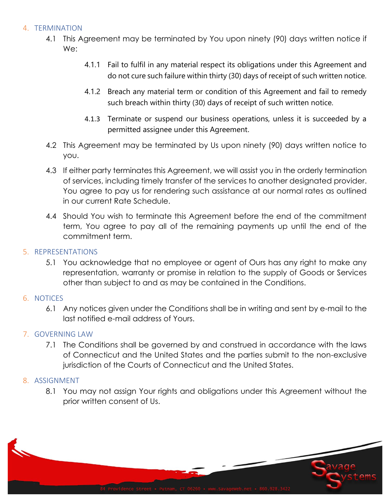## 4. TERMINATION

- 4.1 This Agreement may be terminated by You upon ninety (90) days written notice if We:
	- 4.1.1 Fail to fulfil in any material respect its obligations under this Agreement and do not cure such failure within thirty (30) days of receipt of such written notice.
	- 4.1.2 Breach any material term or condition of this Agreement and fail to remedy such breach within thirty (30) days of receipt of such written notice.
	- 4.1.3 Terminate or suspend our business operations, unless it is succeeded by a permitted assignee under this Agreement.
- 4.2 This Agreement may be terminated by Us upon ninety (90) days written notice to you.
- 4.3 If either party terminates this Agreement, we will assist you in the orderly termination of services, including timely transfer of the services to another designated provider. You agree to pay us for rendering such assistance at our normal rates as outlined in our current Rate Schedule.
- 4.4 Should You wish to terminate this Agreement before the end of the commitment term, You agree to pay all of the remaining payments up until the end of the commitment term.

#### 5. REPRESENTATIONS

5.1 You acknowledge that no employee or agent of Ours has any right to make any representation, warranty or promise in relation to the supply of Goods or Services other than subject to and as may be contained in the Conditions.

## 6. NOTICES

6.1 Any notices given under the Conditions shall be in writing and sent by e-mail to the last notified e-mail address of Yours.

## 7. GOVERNING LAW

7.1 The Conditions shall be governed by and construed in accordance with the laws of Connecticut and the United States and the parties submit to the non-exclusive jurisdiction of the Courts of Connecticut and the United States.

## 8. ASSIGNMENT

8.1 You may not assign Your rights and obligations under this Agreement without the prior written consent of Us.

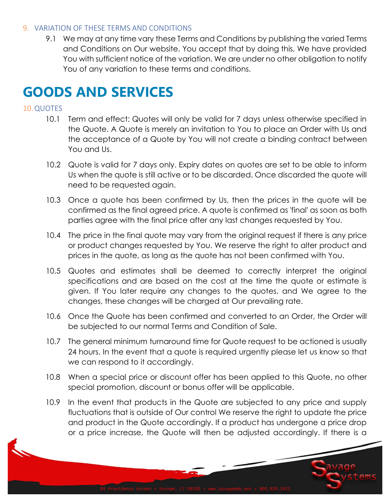#### 9. VARIATION OF THESE TERMS AND CONDITIONS

9.1 We may at any time vary these Terms and Conditions by publishing the varied Terms and Conditions on Our website. You accept that by doing this, We have provided You with sufficient notice of the variation. We are under no other obligation to notify You of any variation to these terms and conditions.

## **GOODS AND SERVICES**

## 10.QUOTES

- 10.1 Term and effect: Quotes will only be valid for 7 days unless otherwise specified in the Quote. A Quote is merely an invitation to You to place an Order with Us and the acceptance of a Quote by You will not create a binding contract between You and Us.
- 10.2 Quote is valid for 7 days only. Expiry dates on quotes are set to be able to inform Us when the quote is still active or to be discarded. Once discarded the quote will need to be requested again.
- 10.3 Once a quote has been confirmed by Us, then the prices in the quote will be confirmed as the final agreed price. A quote is confirmed as 'final' as soon as both parties agree with the final price after any last changes requested by You.
- 10.4 The price in the final quote may vary from the original request if there is any price or product changes requested by You. We reserve the right to alter product and prices in the quote, as long as the quote has not been confirmed with You.
- 10.5 Quotes and estimates shall be deemed to correctly interpret the original specifications and are based on the cost at the time the quote or estimate is given. If You later require any changes to the quotes, and We agree to the changes, these changes will be charged at Our prevailing rate.
- 10.6 Once the Quote has been confirmed and converted to an Order, the Order will be subjected to our normal Terms and Condition of Sale.
- 10.7 The general minimum turnaround time for Quote request to be actioned is usually 24 hours. In the event that a quote is required urgently please let us know so that we can respond to it accordingly.
- 10.8 When a special price or discount offer has been applied to this Quote, no other special promotion, discount or bonus offer will be applicable.
- 10.9 In the event that products in the Quote are subjected to any price and supply fluctuations that is outside of Our control We reserve the right to update the price and product in the Quote accordingly. If a product has undergone a price drop or a price increase, the Quote will then be adjusted accordingly. If there is a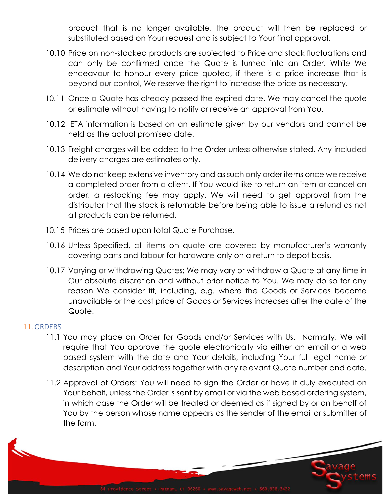product that is no longer available, the product will then be replaced or substituted based on Your request and is subject to Your final approval.

- 10.10 Price on non-stocked products are subjected to Price and stock fluctuations and can only be confirmed once the Quote is turned into an Order. While We endeavour to honour every price quoted, if there is a price increase that is beyond our control, We reserve the right to increase the price as necessary.
- 10.11 Once a Quote has already passed the expired date, We may cancel the quote or estimate without having to notify or receive an approval from You.
- 10.12 ETA information is based on an estimate given by our vendors and cannot be held as the actual promised date.
- 10.13 Freight charges will be added to the Order unless otherwise stated. Any included delivery charges are estimates only.
- 10.14 We do not keep extensive inventory and as such only order items once we receive a completed order from a client. If You would like to return an item or cancel an order, a restocking fee may apply. We will need to get approval from the distributor that the stock is returnable before being able to issue a refund as not all products can be returned.
- 10.15 Prices are based upon total Quote Purchase.
- 10.16 Unless Specified, all items on quote are covered by manufacturer's warranty covering parts and labour for hardware only on a return to depot basis.
- 10.17 Varying or withdrawing Quotes: We may vary or withdraw a Quote at any time in Our absolute discretion and without prior notice to You. We may do so for any reason We consider fit, including, e.g. where the Goods or Services become unavailable or the cost price of Goods or Services increases after the date of the Quote.

## 11.ORDERS

- 11.1 You may place an Order for Goods and/or Services with Us. Normally, We will require that You approve the quote electronically via either an email or a web based system with the date and Your details, including Your full legal name or description and Your address together with any relevant Quote number and date.
- 11.2 Approval of Orders: You will need to sign the Order or have it duly executed on Your behalf, unless the Order is sent by email or via the web based ordering system, in which case the Order will be treated or deemed as if signed by or on behalf of You by the person whose name appears as the sender of the email or submitter of the form.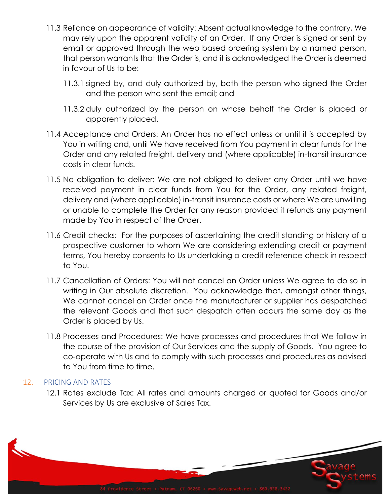- 11.3 Reliance on appearance of validity: Absent actual knowledge to the contrary, We may rely upon the apparent validity of an Order. If any Order is signed or sent by email or approved through the web based ordering system by a named person, that person warrants that the Order is, and it is acknowledged the Order is deemed in favour of Us to be:
	- 11.3.1 signed by, and duly authorized by, both the person who signed the Order and the person who sent the email; and
	- 11.3.2 duly authorized by the person on whose behalf the Order is placed or apparently placed.
- 11.4 Acceptance and Orders: An Order has no effect unless or until it is accepted by You in writing and, until We have received from You payment in clear funds for the Order and any related freight, delivery and (where applicable) in-transit insurance costs in clear funds.
- 11.5 No obligation to deliver: We are not obliged to deliver any Order until we have received payment in clear funds from You for the Order, any related freight, delivery and (where applicable) in-transit insurance costs or where We are unwilling or unable to complete the Order for any reason provided it refunds any payment made by You in respect of the Order.
- 11.6 Credit checks: For the purposes of ascertaining the credit standing or history of a prospective customer to whom We are considering extending credit or payment terms, You hereby consents to Us undertaking a credit reference check in respect to You.
- 11.7 Cancellation of Orders: You will not cancel an Order unless We agree to do so in writing in Our absolute discretion. You acknowledge that, amongst other things, We cannot cancel an Order once the manufacturer or supplier has despatched the relevant Goods and that such despatch often occurs the same day as the Order is placed by Us.
- 11.8 Processes and Procedures: We have processes and procedures that We follow in the course of the provision of Our Services and the supply of Goods. You agree to co-operate with Us and to comply with such processes and procedures as advised to You from time to time.

## 12. PRICING AND RATES

12.1 Rates exclude Tax: All rates and amounts charged or quoted for Goods and/or Services by Us are exclusive of Sales Tax.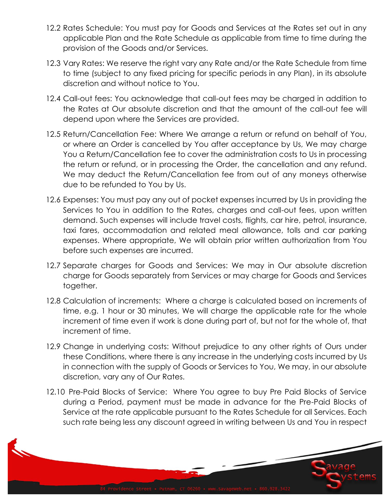- 12.2 Rates Schedule: You must pay for Goods and Services at the Rates set out in any applicable Plan and the Rate Schedule as applicable from time to time during the provision of the Goods and/or Services.
- 12.3 Vary Rates: We reserve the right vary any Rate and/or the Rate Schedule from time to time (subject to any fixed pricing for specific periods in any Plan), in its absolute discretion and without notice to You.
- 12.4 Call-out fees: You acknowledge that call-out fees may be charged in addition to the Rates at Our absolute discretion and that the amount of the call-out fee will depend upon where the Services are provided.
- <span id="page-7-0"></span>12.5 Return/Cancellation Fee: Where We arrange a return or refund on behalf of You, or where an Order is cancelled by You after acceptance by Us, We may charge You a Return/Cancellation fee to cover the administration costs to Us in processing the return or refund, or in processing the Order, the cancellation and any refund. We may deduct the Return/Cancellation fee from out of any moneys otherwise due to be refunded to You by Us.
- 12.6 Expenses: You must pay any out of pocket expenses incurred by Us in providing the Services to You in addition to the Rates, charges and call-out fees, upon written demand. Such expenses will include travel costs, flights, car hire, petrol, insurance, taxi fares, accommodation and related meal allowance, tolls and car parking expenses. Where appropriate, We will obtain prior written authorization from You before such expenses are incurred.
- 12.7 Separate charges for Goods and Services: We may in Our absolute discretion charge for Goods separately from Services or may charge for Goods and Services together.
- 12.8 Calculation of increments: Where a charge is calculated based on increments of time, e.g. 1 hour or 30 minutes, We will charge the applicable rate for the whole increment of time even if work is done during part of, but not for the whole of, that increment of time.
- 12.9 Change in underlying costs: Without prejudice to any other rights of Ours under these Conditions, where there is any increase in the underlying costs incurred by Us in connection with the supply of Goods or Services to You, We may, in our absolute discretion, vary any of Our Rates.
- 12.10 Pre-Paid Blocks of Service: Where You agree to buy Pre Paid Blocks of Service during a Period, payment must be made in advance for the Pre-Paid Blocks of Service at the rate applicable pursuant to the Rates Schedule for all Services. Each such rate being less any discount agreed in writing between Us and You in respect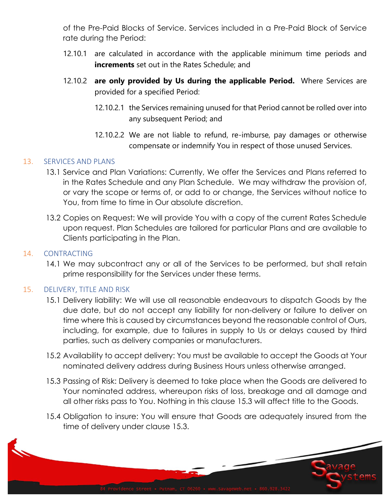of the Pre-Paid Blocks of Service. Services included in a Pre-Paid Block of Service rate during the Period:

- 12.10.1 are calculated in accordance with the applicable minimum time periods and **increments** set out in the Rates Schedule; and
- 12.10.2 **are only provided by Us during the applicable Period.** Where Services are provided for a specified Period:
	- 12.10.2.1 the Services remaining unused for that Period cannot be rolled over into any subsequent Period; and
	- 12.10.2.2 We are not liable to refund, re-imburse, pay damages or otherwise compensate or indemnify You in respect of those unused Services.

#### 13. SERVICES AND PLANS

- 13.1 Service and Plan Variations: Currently, We offer the Services and Plans referred to in the Rates Schedule and any Plan Schedule. We may withdraw the provision of, or vary the scope or terms of, or add to or change, the Services without notice to You, from time to time in Our absolute discretion.
- 13.2 Copies on Request: We will provide You with a copy of the current Rates Schedule upon request. Plan Schedules are tailored for particular Plans and are available to Clients participating in the Plan.

#### 14. CONTRACTING

14.1 We may subcontract any or all of the Services to be performed, but shall retain prime responsibility for the Services under these terms.

## 15. DELIVERY, TITLE AND RISK

- 15.1 Delivery liability: We will use all reasonable endeavours to dispatch Goods by the due date, but do not accept any liability for non-delivery or failure to deliver on time where this is caused by circumstances beyond the reasonable control of Ours, including, for example, due to failures in supply to Us or delays caused by third parties, such as delivery companies or manufacturers.
- 15.2 Availability to accept delivery: You must be available to accept the Goods at Your nominated delivery address during Business Hours unless otherwise arranged.
- 15.3 Passing of Risk: Delivery is deemed to take place when the Goods are delivered to Your nominated address, whereupon risks of loss, breakage and all damage and all other risks pass to You. Nothing in this clause 15.3 will affect title to the Goods.
- 15.4 Obligation to insure: You will ensure that Goods are adequately insured from the time of delivery under clause 15.3.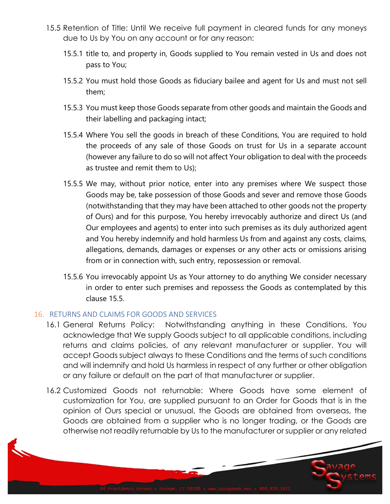- 15.5 Retention of Title: Until We receive full payment in cleared funds for any moneys due to Us by You on any account or for any reason:
	- 15.5.1 title to, and property in, Goods supplied to You remain vested in Us and does not pass to You;
	- 15.5.2 You must hold those Goods as fiduciary bailee and agent for Us and must not sell them;
	- 15.5.3 You must keep those Goods separate from other goods and maintain the Goods and their labelling and packaging intact;
	- 15.5.4 Where You sell the goods in breach of these Conditions, You are required to hold the proceeds of any sale of those Goods on trust for Us in a separate account (however any failure to do so will not affect Your obligation to deal with the proceeds as trustee and remit them to Us);
	- 15.5.5 We may, without prior notice, enter into any premises where We suspect those Goods may be, take possession of those Goods and sever and remove those Goods (notwithstanding that they may have been attached to other goods not the property of Ours) and for this purpose, You hereby irrevocably authorize and direct Us (and Our employees and agents) to enter into such premises as its duly authorized agent and You hereby indemnify and hold harmless Us from and against any costs, claims, allegations, demands, damages or expenses or any other acts or omissions arising from or in connection with, such entry, repossession or removal.
	- 15.5.6 You irrevocably appoint Us as Your attorney to do anything We consider necessary in order to enter such premises and repossess the Goods as contemplated by this clause 15.5.

#### 16. RETURNS AND CLAIMS FOR GOODS AND SERVICES

- 16.1 General Returns Policy: Notwithstanding anything in these Conditions, You acknowledge that We supply Goods subject to all applicable conditions, including returns and claims policies, of any relevant manufacturer or supplier. You will accept Goods subject always to these Conditions and the terms of such conditions and will indemnify and hold Us harmless in respect of any further or other obligation or any failure or default on the part of that manufacturer or supplier.
- 16.2 Customized Goods not returnable: Where Goods have some element of customization for You, are supplied pursuant to an Order for Goods that is in the opinion of Ours special or unusual, the Goods are obtained from overseas, the Goods are obtained from a supplier who is no longer trading, or the Goods are otherwise not readily returnable by Us to the manufacturer or supplier or any related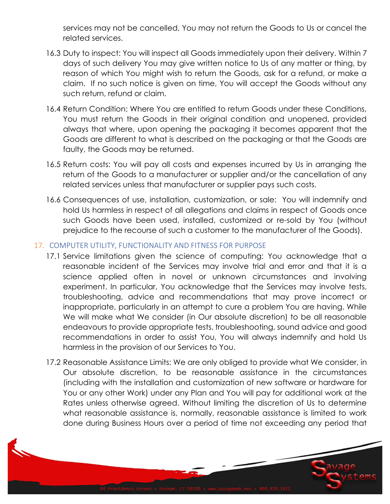services may not be cancelled, You may not return the Goods to Us or cancel the related services.

- 16.3 Duty to inspect: You will inspect all Goods immediately upon their delivery. Within 7 days of such delivery You may give written notice to Us of any matter or thing, by reason of which You might wish to return the Goods, ask for a refund, or make a claim. If no such notice is given on time, You will accept the Goods without any such return, refund or claim.
- 16.4 Return Condition: Where You are entitled to return Goods under these Conditions, You must return the Goods in their original condition and unopened, provided always that where, upon opening the packaging it becomes apparent that the Goods are different to what is described on the packaging or that the Goods are faulty, the Goods may be returned.
- 16.5 Return costs: You will pay all costs and expenses incurred by Us in arranging the return of the Goods to a manufacturer or supplier and/or the cancellation of any related services unless that manufacturer or supplier pays such costs.
- 16.6 Consequences of use, installation, customization, or sale: You will indemnify and hold Us harmless in respect of all allegations and claims in respect of Goods once such Goods have been used, installed, customized or re-sold by You (without prejudice to the recourse of such a customer to the manufacturer of the Goods).

## 17. COMPUTER UTILITY, FUNCTIONALITY AND FITNESS FOR PURPOSE

- 17.1 Service limitations given the science of computing: You acknowledge that a reasonable incident of the Services may involve trial and error and that it is a science applied often in novel or unknown circumstances and involving experiment. In particular, You acknowledge that the Services may involve tests, troubleshooting, advice and recommendations that may prove incorrect or inappropriate, particularly in an attempt to cure a problem You are having. While We will make what We consider (in Our absolute discretion) to be all reasonable endeavours to provide appropriate tests, troubleshooting, sound advice and good recommendations in order to assist You, You will always indemnify and hold Us harmless in the provision of our Services to You.
- <span id="page-10-0"></span>17.2 Reasonable Assistance Limits: We are only obliged to provide what We consider, in Our absolute discretion, to be reasonable assistance in the circumstances (including with the installation and customization of new software or hardware for You or any other Work) under any Plan and You will pay for additional work at the Rates unless otherwise agreed. Without limiting the discretion of Us to determine what reasonable assistance is, normally, reasonable assistance is limited to work done during Business Hours over a period of time not exceeding any period that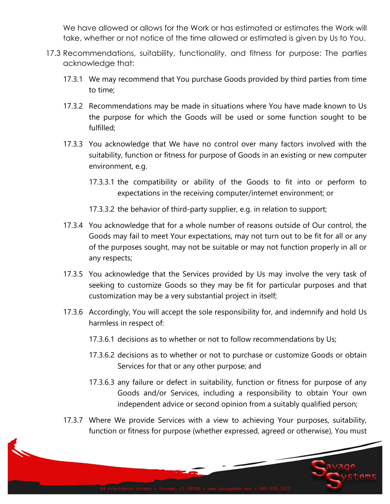We have allowed or allows for the Work or has estimated or estimates the Work will take, whether or not notice of the time allowed or estimated is given by Us to You.

- 17.3 Recommendations, suitability, functionality, and fitness for purpose: The parties acknowledge that:
	- 17.3.1 We may recommend that You purchase Goods provided by third parties from time to time;
	- 17.3.2 Recommendations may be made in situations where You have made known to Us the purpose for which the Goods will be used or some function sought to be fulfilled;
	- 17.3.3 You acknowledge that We have no control over many factors involved with the suitability, function or fitness for purpose of Goods in an existing or new computer environment, e.g.
		- 17.3.3.1 the compatibility or ability of the Goods to fit into or perform to expectations in the receiving computer/internet environment; or
		- 17.3.3.2 the behavior of third-party supplier, e.g. in relation to support;
	- 17.3.4 You acknowledge that for a whole number of reasons outside of Our control, the Goods may fail to meet Your expectations, may not turn out to be fit for all or any of the purposes sought, may not be suitable or may not function properly in all or any respects;
	- 17.3.5 You acknowledge that the Services provided by Us may involve the very task of seeking to customize Goods so they may be fit for particular purposes and that customization may be a very substantial project in itself;
	- 17.3.6 Accordingly, You will accept the sole responsibility for, and indemnify and hold Us harmless in respect of:
		- 17.3.6.1 decisions as to whether or not to follow recommendations by Us;
		- 17.3.6.2 decisions as to whether or not to purchase or customize Goods or obtain Services for that or any other purpose; and
		- 17.3.6.3 any failure or defect in suitability, function or fitness for purpose of any Goods and/or Services, including a responsibility to obtain Your own independent advice or second opinion from a suitably qualified person;
	- 17.3.7 Where We provide Services with a view to achieving Your purposes, suitability, function or fitness for purpose (whether expressed, agreed or otherwise), You must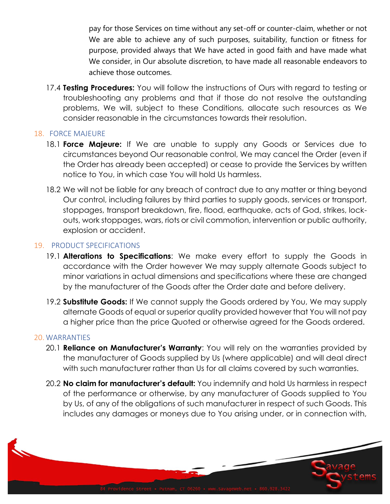pay for those Services on time without any set-off or counter-claim, whether or not We are able to achieve any of such purposes, suitability, function or fitness for purpose, provided always that We have acted in good faith and have made what We consider, in Our absolute discretion, to have made all reasonable endeavors to achieve those outcomes.

17.4 **Testing Procedures:** You will follow the instructions of Ours with regard to testing or troubleshooting any problems and that if those do not resolve the outstanding problems, We will, subject to these Conditions, allocate such resources as We consider reasonable in the circumstances towards their resolution.

#### 18. FORCE MAJEURE

- 18.1 **Force Majeure:** If We are unable to supply any Goods or Services due to circumstances beyond Our reasonable control, We may cancel the Order (even if the Order has already been accepted) or cease to provide the Services by written notice to You, in which case You will hold Us harmless.
- 18.2 We will not be liable for any breach of contract due to any matter or thing beyond Our control, including failures by third parties to supply goods, services or transport, stoppages, transport breakdown, fire, flood, earthquake, acts of God, strikes, lockouts, work stoppages, wars, riots or civil commotion, intervention or public authority, explosion or accident.

#### 19. PRODUCT SPECIFICATIONS

- 19.1 **Alterations to Specifications**: We make every effort to supply the Goods in accordance with the Order however We may supply alternate Goods subject to minor variations in actual dimensions and specifications where these are changed by the manufacturer of the Goods after the Order date and before delivery.
- 19.2 **Substitute Goods:** If We cannot supply the Goods ordered by You, We may supply alternate Goods of equal or superior quality provided however that You will not pay a higher price than the price Quoted or otherwise agreed for the Goods ordered.

#### 20. WARRANTIES

- 20.1 **Reliance on Manufacturer's Warranty**: You will rely on the warranties provided by the manufacturer of Goods supplied by Us (where applicable) and will deal direct with such manufacturer rather than Us for all claims covered by such warranties.
- 20.2 **No claim for manufacturer's default:** You indemnify and hold Us harmless in respect of the performance or otherwise, by any manufacturer of Goods supplied to You by Us, of any of the obligations of such manufacturer in respect of such Goods. This includes any damages or moneys due to You arising under, or in connection with,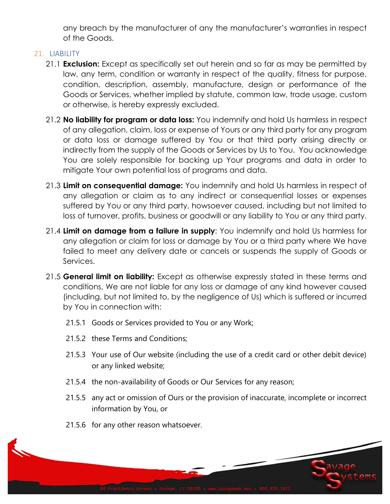any breach by the manufacturer of any the manufacturer's warranties in respect of the Goods.

#### 21. LIABILITY

- 21.1 **Exclusion:** Except as specifically set out herein and so far as may be permitted by law, any term, condition or warranty in respect of the quality, fitness for purpose, condition, description, assembly, manufacture, design or performance of the Goods or Services, whether implied by statute, common law, trade usage, custom or otherwise, is hereby expressly excluded.
- 21.2 **No liability for program or data loss:** You indemnify and hold Us harmless in respect of any allegation, claim, loss or expense of Yours or any third party for any program or data loss or damage suffered by You or that third party arising directly or indirectly from the supply of the Goods or Services by Us to You. You acknowledge You are solely responsible for backing up Your programs and data in order to mitigate Your own potential loss of programs and data.
- 21.3 **Limit on consequential damage:** You indemnify and hold Us harmless in respect of any allegation or claim as to any indirect or consequential losses or expenses suffered by You or any third party, howsoever caused, including but not limited to loss of turnover, profits, business or goodwill or any liability to You or any third party.
- 21.4 **Limit on damage from a failure in supply**: You indemnify and hold Us harmless for any allegation or claim for loss or damage by You or a third party where We have failed to meet any delivery date or cancels or suspends the supply of Goods or Services.
- <span id="page-13-0"></span>21.5 **General limit on liability:** Except as otherwise expressly stated in these terms and conditions, We are not liable for any loss or damage of any kind however caused (including, but not limited to, by the negligence of Us) which is suffered or incurred by You in connection with:
	- 21.5.1 Goods or Services provided to You or any Work;
	- 21.5.2 these Terms and Conditions;
	- 21.5.3 Your use of Our website (including the use of a credit card or other debit device) or any linked website;
	- 21.5.4 the non-availability of Goods or Our Services for any reason;
	- 21.5.5 any act or omission of Ours or the provision of inaccurate, incomplete or incorrect information by You, or
	- 21.5.6 for any other reason whatsoever.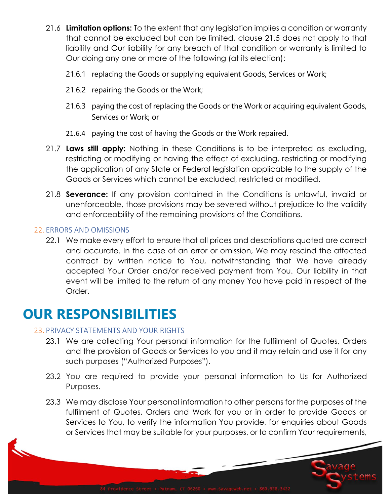- 21.6 **Limitation options:** To the extent that any legislation implies a condition or warranty that cannot be excluded but can be limited, clause [21.5](#page-13-0) does not apply to that liability and Our liability for any breach of that condition or warranty is limited to Our doing any one or more of the following (at its election):
	- 21.6.1 replacing the Goods or supplying equivalent Goods, Services or Work;
	- 21.6.2 repairing the Goods or the Work;
	- 21.6.3 paying the cost of replacing the Goods or the Work or acquiring equivalent Goods, Services or Work; or
	- 21.6.4 paying the cost of having the Goods or the Work repaired.
- 21.7 **Laws still apply:** Nothing in these Conditions is to be interpreted as excluding, restricting or modifying or having the effect of excluding, restricting or modifying the application of any State or Federal legislation applicable to the supply of the Goods or Services which cannot be excluded, restricted or modified.
- 21.8 **Severance:** If any provision contained in the Conditions is unlawful, invalid or unenforceable, those provisions may be severed without prejudice to the validity and enforceability of the remaining provisions of the Conditions.

#### 22. ERRORS AND OMISSIONS

22.1 We make every effort to ensure that all prices and descriptions quoted are correct and accurate. In the case of an error or omission, We may rescind the affected contract by written notice to You, notwithstanding that We have already accepted Your Order and/or received payment from You. Our liability in that event will be limited to the return of any money You have paid in respect of the Order.

## **OUR RESPONSIBILITIES**

#### 23. PRIVACY STATEMENTS AND YOUR RIGHTS

- 23.1 We are collecting Your personal information for the fulfilment of Quotes, Orders and the provision of Goods or Services to you and it may retain and use it for any such purposes ("Authorized Purposes").
- 23.2 You are required to provide your personal information to Us for Authorized Purposes.
- 23.3 We may disclose Your personal information to other persons for the purposes of the fulfilment of Quotes, Orders and Work for you or in order to provide Goods or Services to You, to verify the information You provide, for enquiries about Goods or Services that may be suitable for your purposes, or to confirm Your requirements,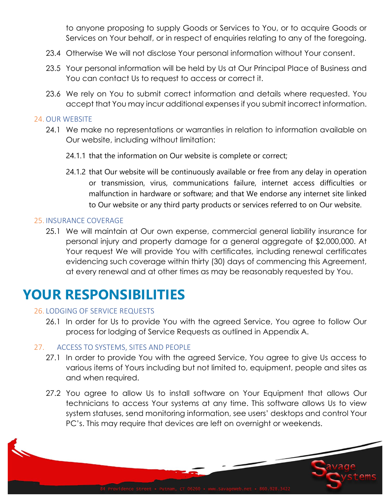to anyone proposing to supply Goods or Services to You, or to acquire Goods or Services on Your behalf, or in respect of enquiries relating to any of the foregoing.

- 23.4 Otherwise We will not disclose Your personal information without Your consent.
- 23.5 Your personal information will be held by Us at Our Principal Place of Business and You can contact Us to request to access or correct it.
- 23.6 We rely on You to submit correct information and details where requested. You accept that You may incur additional expenses if you submit incorrect information.

#### 24. OUR WEBSITE

- 24.1 We make no representations or warranties in relation to information available on Our website, including without limitation:
	- 24.1.1 that the information on Our website is complete or correct;
	- 24.1.2 that Our website will be continuously available or free from any delay in operation or transmission, virus, communications failure, internet access difficulties or malfunction in hardware or software; and that We endorse any internet site linked to Our website or any third party products or services referred to on Our website.

#### 25. INSURANCE COVERAGE

25.1 We will maintain at Our own expense, commercial general liability insurance for personal injury and property damage for a general aggregate of \$2,000,000. At Your request We will provide You with certificates, including renewal certificates evidencing such coverage within thirty (30) days of commencing this Agreement, at every renewal and at other times as may be reasonably requested by You.

## **YOUR RESPONSIBILITIES**

#### 26. LODGING OF SERVICE REQUESTS

26.1 In order for Us to provide You with the agreed Service, You agree to follow Our process for lodging of Service Requests as outlined in Appendix A.

#### 27. ACCESS TO SYSTEMS, SITES AND PEOPLE

- 27.1 In order to provide You with the agreed Service, You agree to give Us access to various items of Yours including but not limited to, equipment, people and sites as and when required.
- 27.2 You agree to allow Us to install software on Your Equipment that allows Our technicians to access Your systems at any time. This software allows Us to view system statuses, send monitoring information, see users' desktops and control Your PC's. This may require that devices are left on overnight or weekends.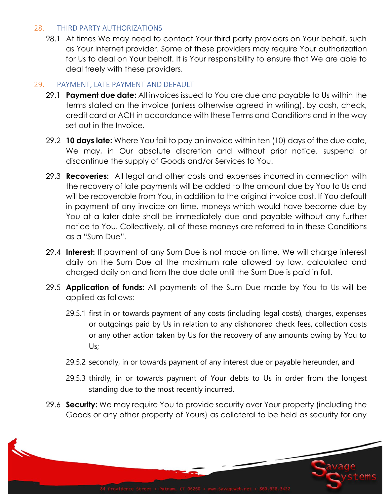#### 28. THIRD PARTY AUTHORIZATIONS

28.1 At times We may need to contact Your third party providers on Your behalf, such as Your internet provider. Some of these providers may require Your authorization for Us to deal on Your behalf. It is Your responsibility to ensure that We are able to deal freely with these providers.

#### 29. PAYMENT, LATE PAYMENT AND DEFAULT

- 29.1 **Payment due date:** All invoices issued to You are due and payable to Us within the terms stated on the invoice (unless otherwise agreed in writing). by cash, check, credit card or ACH in accordance with these Terms and Conditions and in the way set out in the Invoice.
- 29.2 **10 days late:** Where You fail to pay an invoice within ten (10) days of the due date, We may, in Our absolute discretion and without prior notice, suspend or discontinue the supply of Goods and/or Services to You.
- 29.3 **Recoveries:** All legal and other costs and expenses incurred in connection with the recovery of late payments will be added to the amount due by You to Us and will be recoverable from You, in addition to the original invoice cost. If You default in payment of any invoice on time, moneys which would have become due by You at a later date shall be immediately due and payable without any further notice to You. Collectively, all of these moneys are referred to in these Conditions as a "Sum Due".
- 29.4 **Interest:** If payment of any Sum Due is not made on time, We will charge interest daily on the Sum Due at the maximum rate allowed by law, calculated and charged daily on and from the due date until the Sum Due is paid in full.
- 29.5 **Application of funds:** All payments of the Sum Due made by You to Us will be applied as follows:
	- 29.5.1 first in or towards payment of any costs (including legal costs), charges, expenses or outgoings paid by Us in relation to any dishonored check fees, collection costs or any other action taken by Us for the recovery of any amounts owing by You to Us;
	- 29.5.2 secondly, in or towards payment of any interest due or payable hereunder, and
	- 29.5.3 thirdly, in or towards payment of Your debts to Us in order from the longest standing due to the most recently incurred.
- 29.6 **Security:** We may require You to provide security over Your property (including the Goods or any other property of Yours) as collateral to be held as security for any

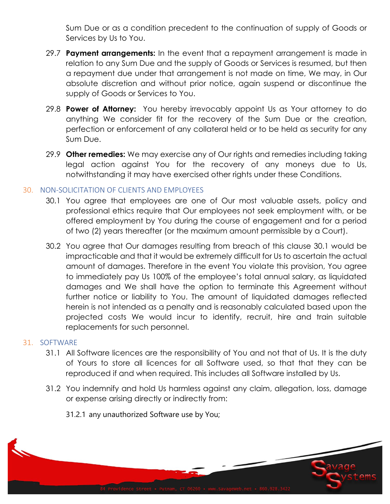Sum Due or as a condition precedent to the continuation of supply of Goods or Services by Us to You.

- 29.7 **Payment arrangements:** In the event that a repayment arrangement is made in relation to any Sum Due and the supply of Goods or Services is resumed, but then a repayment due under that arrangement is not made on time, We may, in Our absolute discretion and without prior notice, again suspend or discontinue the supply of Goods or Services to You.
- 29.8 **Power of Attorney:** You hereby irrevocably appoint Us as Your attorney to do anything We consider fit for the recovery of the Sum Due or the creation, perfection or enforcement of any collateral held or to be held as security for any Sum Due.
- 29.9 **Other remedies:** We may exercise any of Our rights and remedies including taking legal action against You for the recovery of any moneys due to Us, notwithstanding it may have exercised other rights under these Conditions.

## 30. NON-SOLICITATION OF CLIENTS AND EMPLOYEES

- 30.1 You agree that employees are one of Our most valuable assets, policy and professional ethics require that Our employees not seek employment with, or be offered employment by You during the course of engagement and for a period of two (2) years thereafter (or the maximum amount permissible by a Court).
- 30.2 You agree that Our damages resulting from breach of this clause 30.1 would be impracticable and that it would be extremely difficult for Us to ascertain the actual amount of damages. Therefore in the event You violate this provision, You agree to immediately pay Us 100% of the employee's total annual salary, as liquidated damages and We shall have the option to terminate this Agreement without further notice or liability to You. The amount of liquidated damages reflected herein is not intended as a penalty and is reasonably calculated based upon the projected costs We would incur to identify, recruit, hire and train suitable replacements for such personnel.

## 31. SOFTWARE

- 31.1 All Software licences are the responsibility of You and not that of Us. It is the duty of Yours to store all licences for all Software used, so that that they can be reproduced if and when required. This includes all Software installed by Us.
- 31.2 You indemnify and hold Us harmless against any claim, allegation, loss, damage or expense arising directly or indirectly from:
	- 31.2.1 any unauthorized Software use by You;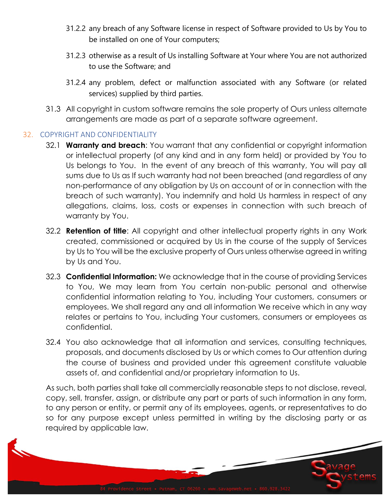- 31.2.2 any breach of any Software license in respect of Software provided to Us by You to be installed on one of Your computers;
- 31.2.3 otherwise as a result of Us installing Software at Your where You are not authorized to use the Software; and
- 31.2.4 any problem, defect or malfunction associated with any Software (or related services) supplied by third parties.
- 31.3 All copyright in custom software remains the sole property of Ours unless alternate arrangements are made as part of a separate software agreement.

## 32. COPYRIGHT AND CONFIDENTIALITY

- 32.1 **Warranty and breach**: You warrant that any confidential or copyright information or intellectual property (of any kind and in any form held) or provided by You to Us belongs to You. In the event of any breach of this warranty, You will pay all sums due to Us as If such warranty had not been breached (and regardless of any non-performance of any obligation by Us on account of or in connection with the breach of such warranty). You indemnify and hold Us harmless in respect of any allegations, claims, loss, costs or expenses in connection with such breach of warranty by You.
- 32.2 **Retention of title**: All copyright and other intellectual property rights in any Work created, commissioned or acquired by Us in the course of the supply of Services by Us to You will be the exclusive property of Ours unless otherwise agreed in writing by Us and You.
- 32.3 **Confidential Information:** We acknowledge that in the course of providing Services to You, We may learn from You certain non-public personal and otherwise confidential information relating to You, including Your customers, consumers or employees. We shall regard any and all information We receive which in any way relates or pertains to You, including Your customers, consumers or employees as confidential.
- 32.4 You also acknowledge that all information and services, consulting techniques, proposals, and documents disclosed by Us or which comes to Our attention during the course of business and provided under this agreement constitute valuable assets of, and confidential and/or proprietary information to Us.

As such, both parties shall take all commercially reasonable steps to not disclose, reveal, copy, sell, transfer, assign, or distribute any part or parts of such information in any form, to any person or entity, or permit any of its employees, agents, or representatives to do so for any purpose except unless permitted in writing by the disclosing party or as required by applicable law.